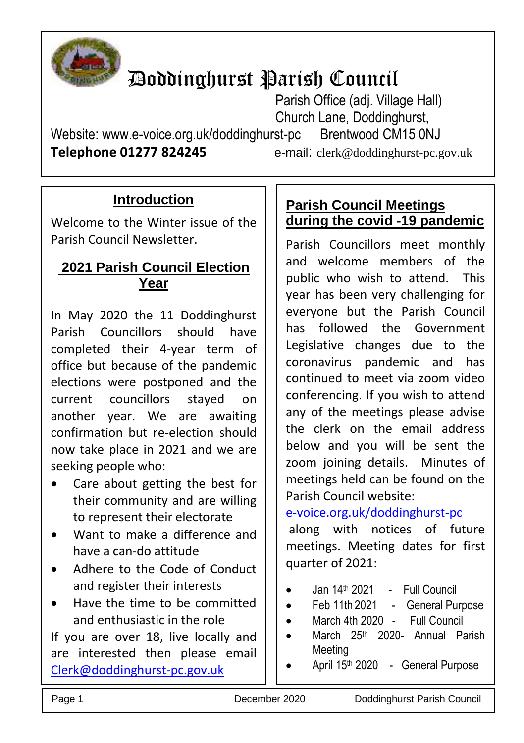

# Doddinghurst Parish Council

Parish Office (adj. Village Hall) Church Lane, Doddinghurst,

Website: www.e-voice.org.uk/doddinghurst-pc Brentwood CM15 0NJ **Telephone 01277 824245** e-mail: [clerk@doddinghurst-pc.gov.uk](mailto:clerk@doddinghurst-pc.gov.uk)

## **Introduction**

Welcome to the Winter issue of the Parish Council Newsletter.

### **2021 Parish Council Election Year**

In May 2020 the 11 Doddinghurst Parish Councillors should have completed their 4-year term of office but because of the pandemic elections were postponed and the current councillors stayed on another year. We are awaiting confirmation but re-election should now take place in 2021 and we are seeking people who:

- Care about getting the best for their community and are willing to represent their electorate
- Want to make a difference and have a can-do attitude
- Adhere to the Code of Conduct and register their interests
- Have the time to be committed and enthusiastic in the role

If you are over 18, live locally and are interested then please email [Clerk@doddinghurst-pc.gov.uk](mailto:Clerk@doddinghurst-pc.gov.uk)

## **Parish Council Meetings during the covid -19 pandemic**

Parish Councillors meet monthly and welcome members of the public who wish to attend. This year has been very challenging for everyone but the Parish Council has followed the Government Legislative changes due to the coronavirus pandemic and has continued to meet via zoom video conferencing. If you wish to attend any of the meetings please advise the clerk on the email address below and you will be sent the zoom joining details. Minutes of meetings held can be found on the Parish Council website:

[e-voice.org.uk/doddinghurst-pc](http://www.e-voice.org.uk/doddinghurst-pc)

along with notices of future meetings. Meeting dates for first quarter of 2021:

- Jan 14<sup>th</sup> 2021 Full Council
- Feb 11th 2021 General Purpose
- March 4th 2020 Full Council
- March 25<sup>th</sup> 2020- Annual Parish Meeting
- April 15th 2020 General Purpose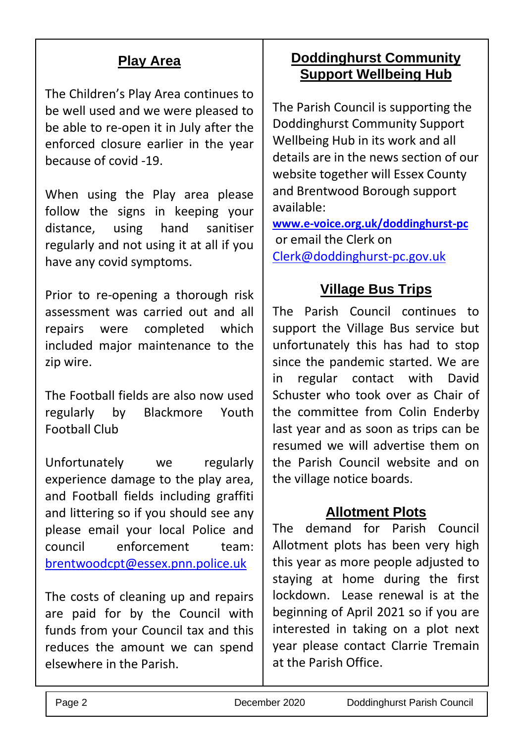## **Play Area**

The Children's Play Area continues to be well used and we were pleased to be able to re-open it in July after the enforced closure earlier in the year because of covid -19.

When using the Play area please follow the signs in keeping your distance, using hand sanitiser regularly and not using it at all if you have any covid symptoms.

Prior to re-opening a thorough risk assessment was carried out and all repairs were completed which included major maintenance to the zip wire.

The Football fields are also now used regularly by Blackmore Youth Football Club

Unfortunately we regularly experience damage to the play area, and Football fields including graffiti and littering so if you should see any please email your local Police and council enforcement team: [brentwoodcpt@essex.pnn.police.uk](mailto:brentwoodcpt@essex.pnn.police.uk)

The costs of cleaning up and repairs are paid for by the Council with funds from your Council tax and this reduces the amount we can spend elsewhere in the Parish.

## **Doddinghurst Community Support Wellbeing Hub**

The Parish Council is supporting the Doddinghurst Community Support Wellbeing Hub in its work and all details are in the news section of our website together will Essex County and Brentwood Borough support available:

**[www.e-voice.org.uk/doddinghurst-pc](http://www.e-voice.org.uk/doddinghurst-pc)** or email the Clerk on [Clerk@doddinghurst-pc.gov.uk](mailto:Clerk@doddinghurst-pc.gov.uk)

# **Village Bus Trips**

The Parish Council continues to support the Village Bus service but unfortunately this has had to stop since the pandemic started. We are in regular contact with David Schuster who took over as Chair of the committee from Colin Enderby last year and as soon as trips can be resumed we will advertise them on the Parish Council website and on the village notice boards.

## **Allotment Plots**

The demand for Parish Council Allotment plots has been very high this year as more people adjusted to staying at home during the first lockdown. Lease renewal is at the beginning of April 2021 so if you are interested in taking on a plot next year please contact Clarrie Tremain at the Parish Office.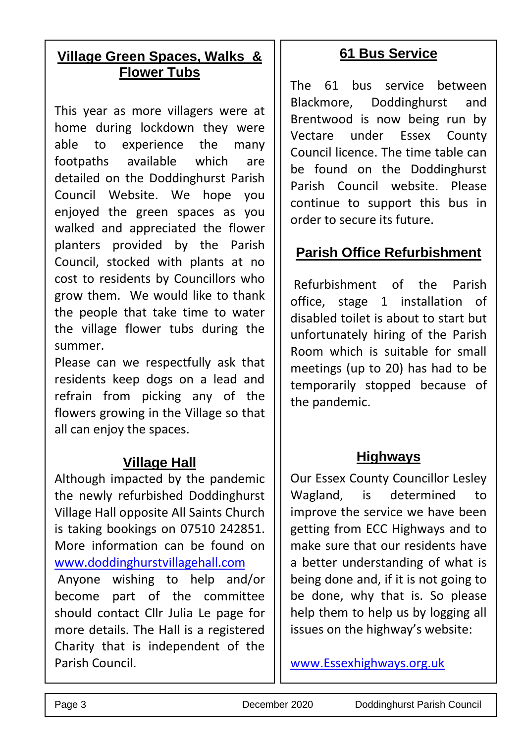## **Village Green Spaces, Walks & Flower Tubs**

This year as more villagers were at home during lockdown they were able to experience the many footpaths available which are detailed on the Doddinghurst Parish Council Website. We hope you enjoyed the green spaces as you walked and appreciated the flower planters provided by the Parish Council, stocked with plants at no cost to residents by Councillors who grow them. We would like to thank the people that take time to water the village flower tubs during the summer.

Please can we respectfully ask that residents keep dogs on a lead and refrain from picking any of the flowers growing in the Village so that all can enjoy the spaces.

### **Village Hall**

Although impacted by the pandemic the newly refurbished Doddinghurst Village Hall opposite All Saints Church is taking bookings on 07510 242851. More information can be found on [www.doddinghurstvillagehall.com](http://www.doddinghurstvillagehall.com/)

Anyone wishing to help and/or become part of the committee should contact Cllr Julia Le page for more details. The Hall is a registered Charity that is independent of the Parish Council.

### **61 Bus Service**

The 61 bus service between Blackmore, Doddinghurst and Brentwood is now being run by Vectare under Essex County Council licence. The time table can be found on the Doddinghurst Parish Council website. Please continue to support this bus in order to secure its future.

## **Parish Office Refurbishment**

Refurbishment of the Parish office, stage 1 installation of disabled toilet is about to start but unfortunately hiring of the Parish Room which is suitable for small meetings (up to 20) has had to be temporarily stopped because of the pandemic.

#### **Highways**

Our Essex County Councillor Lesley Wagland, is determined to improve the service we have been getting from ECC Highways and to make sure that our residents have a better understanding of what is being done and, if it is not going to be done, why that is. So please help them to help us by logging all issues on the highway's website:

[www.Essexhighways.org.uk](http://www.essexhighways.org.uk/)